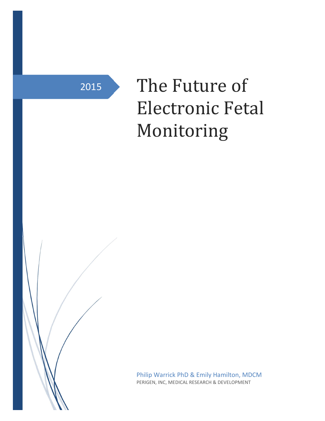2015

# The Future of Electronic Fetal Monitoring

Philip Warrick PhD & Emily Hamilton, MDCM PERIGEN, INC, MEDICAL RESEARCH & DEVELOPMENT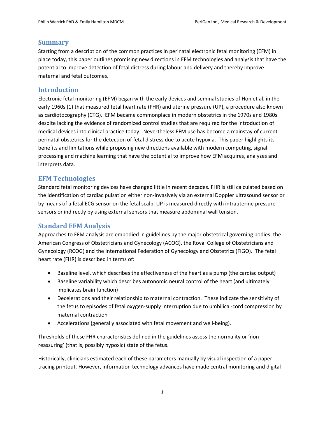## Summary

Starting from a description of the common practices in perinatal electronic fetal monitoring (EFM) in place today, this paper outlines promising new directions in EFM technologies and analysis that have the potential to improve detection of fetal distress during labour and delivery and thereby improve maternal and fetal outcomes.

## Introduction

Electronic fetal monitoring (EFM) began with the early devices and seminal studies of Hon et al. in the early 1960s (1) that measured fetal heart rate (FHR) and uterine pressure (UP), a procedure also known as cardiotocography (CTG). EFM became commonplace in modern obstetrics in the 1970s and 1980s – despite lacking the evidence of randomized control studies that are required for the introduction of medical devices into clinical practice today. Nevertheless EFM use has become a mainstay of current perinatal obstetrics for the detection of fetal distress due to acute hypoxia. This paper highlights its benefits and limitations while proposing new directions available with modern computing, signal processing and machine learning that have the potential to improve how EFM acquires, analyzes and interprets data.

## EFM Technologies

Standard fetal monitoring devices have changed little in recent decades. FHR is still calculated based on the identification of cardiac pulsation either non-invasively via an external Doppler ultrasound sensor or by means of a fetal ECG sensor on the fetal scalp. UP is measured directly with intrauterine pressure sensors or indirectly by using external sensors that measure abdominal wall tension.

## Standard EFM Analysis

Approaches to EFM analysis are embodied in guidelines by the major obstetrical governing bodies: the American Congress of Obstetricians and Gynecology (ACOG), the Royal College of Obstetricians and Gynecology (RCOG) and the International Federation of Gynecology and Obstetrics (FIGO). The fetal heart rate (FHR) is described in terms of:

- Baseline level, which describes the effectiveness of the heart as a pump (the cardiac output)
- Baseline variability which describes autonomic neural control of the heart (and ultimately implicates brain function)
- Decelerations and their relationship to maternal contraction. These indicate the sensitivity of the fetus to episodes of fetal oxygen-supply interruption due to umbilical-cord compression by maternal contraction
- Accelerations (generally associated with fetal movement and well-being).

Thresholds of these FHR characteristics defined in the guidelines assess the normality or 'nonreassuring' (that is, possibly hypoxic) state of the fetus.

Historically, clinicians estimated each of these parameters manually by visual inspection of a paper tracing printout. However, information technology advances have made central monitoring and digital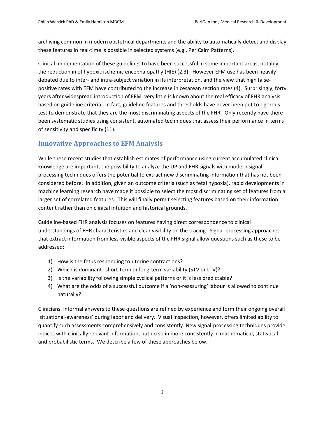archiving common in modern obstetrical departments and the ability to automatically detect and display these features in real-time is possible in selected systems (e.g., PeriCalm Patterns).

Clinical implementation of these guidelines to have been successful in some important areas, notably, the reduction in of hypoxic ischemic encephalopathy (HIE) (2,3). However EFM use has been heavily debated due to inter- and intra-subject variation in its interpretation, and the view that high falsepositive rates with EFM have contributed to the increase in cesarean section rates (4). Surprisingly, forty years after widespread introduction of EFM, very little is known about the real efficacy of FHR analysis based on guideline criteria. In fact, guideline features and thresholds have never been put to rigorous test to demonstrate that they are the most discriminating aspects of the FHR. Only recently have there been systematic studies using consistent, automated techniques that assess their performance in terms of sensitivity and specificity (11).

# Innovative Approaches to EFM Analysis

While these recent studies that establish estimates of performance using current accumulated clinical knowledge are important, the possibility to analyze the UP and FHR signals with modern signalprocessing techniques offers the potential to extract new discriminating information that has not been considered before. In addition, given an outcome criteria (such as fetal hypoxia), rapid developments in machine learning research have made it possible to select the most discriminating set of features from a larger set of correlated features. This will finally permit selecting features based on their information content rather than on clinical intuition and historical grounds.

Guideline-based FHR analysis focuses on features having direct correspondence to clinical understandings of FHR characteristics and clear visibility on the tracing. Signal-processing approaches that extract information from less-visible aspects of the FHR signal allow questions such as these to be addressed:

- 1) How is the fetus responding to uterine contractions?
- 2) Which is dominant--short-term or long-term variability (STV or LTV)?
- 3) Is the variability following simple cyclical patterns or it is less predictable?
- 4) What are the odds of a successful outcome if a 'non-reassuring' labour is allowed to continue naturally?

Clinicians' informal answers to these questions are refined by experience and form their ongoing overall 'situational-awareness' during labor and delivery. Visual inspection, however, offers limited ability to quantify such assessments comprehensively and consistently. New signal-processing techniques provide indices with clinically relevant information, but do so in more consistently in mathematical, statistical and probabilistic terms. We describe a few of these approaches below.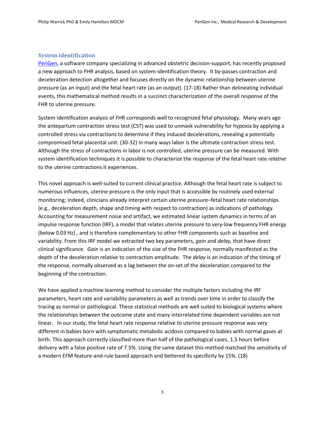#### System identification

PeriGen, a software company specializing in advanced obstetric decision-support, has recently proposed a new approach to FHR analysis, based on system-identification theory. It by-passes contraction and deceleration detection altogether and focuses directly on the dynamic relationship between uterine pressure (as an input) and the fetal heart rate (as an output). (17-18) Rather than delineating individual events, this mathematical method results in a succinct characterization of the overall response of the FHR to uterine pressure.

System identification analysis of FHR corresponds well to recognized fetal physiology. Many years ago the antepartum contraction stress test (CST) was used to unmask vulnerability for hypoxia by applying a controlled stress via contractions to determine if they induced decelerations, revealing a potentially compromised fetal-placental unit. (30-32) In many ways labor is the ultimate contraction stress test. Although the stress of contractions in labor is not controlled, uterine pressure can be measured. With system identification techniques it is possible to characterize the response of the fetal heart rate *relative* to the uterine contractions it experiences.

This novel approach is well-suited to current clinical practice. Although the fetal heart rate is subject to numerous influences, uterine pressure is the only input that is accessible by routinely used external monitoring; indeed, clinicians already interpret certain uterine pressure–fetal heart rate relationships (e.g., deceleration depth, shape and timing with respect to contraction) as indications of pathology. Accounting for measurement noise and artifact, we estimated linear system dynamics in terms of an impulse response function (IRF), a model that relates uterine pressure to very-low frequency FHR energy (below 0.03 Hz) , and is therefore complementary to other FHR components such as baseline and variability. From this IRF model we extracted two key parameters, *gain* and *delay,* that have direct clinical significan*ce. Gain* is an indication of the size of the FHR response, normally manifested as the depth of the deceleration relative to contraction amplitude. The *delay* is an indication of the timing of the response, normally observed as a lag between the on-set of the deceleration compared to the beginning of the contraction.

We have applied a machine learning method to consider the multiple factors including the IRF parameters, heart rate and variability parameters as well as trends over time in order to classify the tracing as normal or pathological. These statistical methods are well suited to biological systems where the relationships between the outcome state and many interrelated time dependent variables are not linear. In our study, the fetal heart rate response relative to uterine pressure response was very different in babies born with symptomatic metabolic acidosis compared to babies with normal gases at birth. This approach correctly classified more than half of the pathological cases, 1.5 hours before delivery with a false positive rate of 7.5%. Using the same dataset this method matched the sensitivity of a modern EFM feature-and-rule based approach and bettered its specificity by 15%. (18)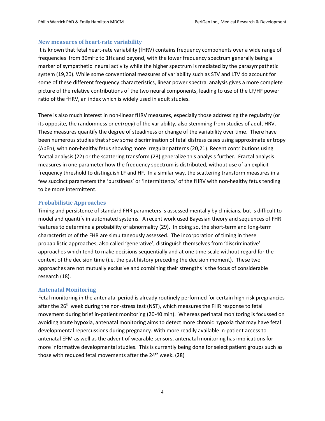#### New measures of heart-rate variability

It is known that fetal heart-rate variability (fHRV) contains frequency components over a wide range of frequencies from 30mHz to 1Hz and beyond, with the lower frequency spectrum generally being a marker of sympathetic neural activity while the higher spectrum is mediated by the parasympathetic system (19,20). While some conventional measures of variability such as STV and LTV do account for some of these different frequency characteristics, linear power spectral analysis gives a more complete picture of the relative contributions of the two neural components, leading to use of the LF/HF power ratio of the fHRV, an index which is widely used in adult studies.

There is also much interest in non-linear fHRV measures, especially those addressing the regularity (or its opposite, the randomness or *entropy*) of the variability, also stemming from studies of adult HRV. These measures quantify the degree of steadiness or change of the variability over time. There have been numerous studies that show some discrimination of fetal distress cases using approximate entropy (ApEn), with non-healthy fetus showing more irregular patterns (20,21). Recent contributions using fractal analysis (22) or the scattering transform (23) generalize this analysis further. Fractal analysis measures in one parameter how the frequency spectrum is distributed, without use of an explicit frequency threshold to distinguish LF and HF. In a similar way, the scattering transform measures in a few succinct parameters the 'burstiness' or 'intermittency' of the fHRV with non-healthy fetus tending to be more intermittent.

#### Probabilistic Approaches

Timing and persistence of standard FHR parameters is assessed mentally by clinicians, but is difficult to model and quantify in automated systems. A recent work used Bayesian theory and sequences of FHR features to determine a probability of abnormality (29). In doing so, the short-term and long-term characteristics of the FHR are simultaneously assessed. The incorporation of timing in these probabilistic approaches, also called 'generative', distinguish themselves from 'discriminative' approaches which tend to make decisions sequentially and at one time scale without regard for the context of the decision time (i.e. the past history preceding the decision moment). These two approaches are not mutually exclusive and combining their strengths is the focus of considerable research (18).

#### Antenatal Monitoring

Fetal monitoring in the antenatal period is already routinely performed for certain high-risk pregnancies after the 26<sup>th</sup> week during the non-stress test (NST), which measures the FHR response to fetal movement during brief in-patient monitoring (20-40 min). Whereas perinatal monitoring is focussed on avoiding acute hypoxia, antenatal monitoring aims to detect more chronic hypoxia that may have fetal developmental repercussions during pregnancy. With more readily available in-patient access to antenatal EFM as well as the advent of wearable sensors, antenatal monitoring has implications for more informative developmental studies. This is currently being done for select patient groups such as those with reduced fetal movements after the  $24<sup>th</sup>$  week. (28)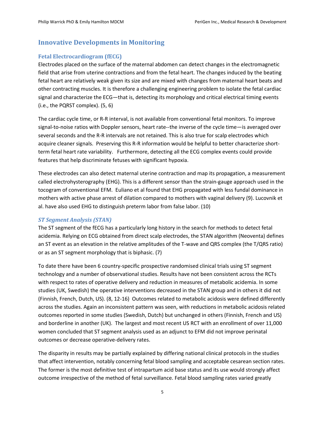## Innovative Developments in Monitoring

#### Fetal Electrocardiogram (fECG)

Electrodes placed on the surface of the maternal abdomen can detect changes in the electromagnetic field that arise from uterine contractions and from the fetal heart. The changes induced by the beating fetal heart are relatively weak given its size and are mixed with changes from maternal heart beats and other contracting muscles. It is therefore a challenging engineering problem to isolate the fetal cardiac signal and characterize the ECG—that is, detecting its morphology and critical electrical timing events (i.e., the PQRST complex). (5, 6)

The cardiac cycle time, or R-R interval, is not available from conventional fetal monitors. To improve signal-to-noise ratios with Doppler sensors, heart rate--the inverse of the cycle time—is averaged over several seconds and the R-R intervals are not retained. This is also true for scalp electrodes which acquire cleaner signals. Preserving this R-R information would be helpful to better characterize shortterm fetal heart rate variability. Furthermore, detecting all the ECG complex events could provide features that help discriminate fetuses with significant hypoxia.

These electrodes can also detect maternal uterine contraction and map its propagation, a measurement called electrohysterography (EHG). This is a different sensor than the strain-gauge approach used in the tocogram of conventional EFM. Euliano et al found that EHG propagated with less fundal dominance in mothers with active phase arrest of dilation compared to mothers with vaginal delivery (9). Lucovnik et al. have also used EHG to distinguish preterm labor from false labor. (10)

#### *ST Segment Analysis (STAN)*

The ST segment of the fECG has a particularly long history in the search for methods to detect fetal acidemia. Relying on ECG obtained from direct scalp electrodes, the STAN algorithm (Neoventa) defines an ST event as an elevation in the relative amplitudes of the T-wave and QRS complex (the T/QRS ratio) or as an ST segment morphology that is biphasic. (7)

To date there have been 6 country-specific prospective randomised clinical trials using ST segment technology and a number of observational studies. Results have not been consistent across the RCTs with respect to rates of operative delivery and reduction in measures of metabolic acidemia. In some studies (UK, Swedish) the operative interventions decreased in the STAN group and in others it did not (Finnish, French, Dutch, US). (8, 12-16) Outcomes related to metabolic acidosis were defined differently across the studies. Again an inconsistent pattern was seen, with reductions in metabolic acidosis related outcomes reported in some studies (Swedish, Dutch) but unchanged in others (Finnish, French and US) and borderline in another (UK). The largest and most recent US RCT with an enrollment of over 11,000 women concluded that ST segment analysis used as an adjunct to EFM did not improve perinatal outcomes or decrease operative-delivery rates.

The disparity in results may be partially explained by differing national clinical protocols in the studies that affect intervention, notably concerning fetal blood sampling and acceptable cesarean section rates. The former is the most definitive test of intrapartum acid base status and its use would strongly affect outcome irrespective of the method of fetal surveillance. Fetal blood sampling rates varied greatly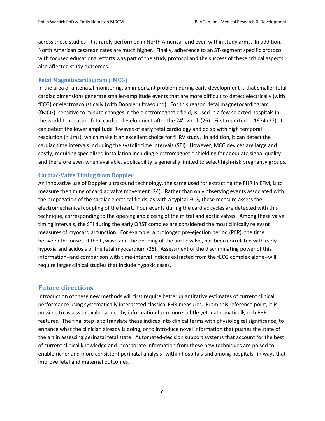across these studies--it is rarely performed in North America--and even within study arms. In addition, North American cesarean rates are much higher. Finally, adherence to an ST-segment specific protocol with focused educational efforts was part of the study protocol and the success of these critical aspects also affected study outcomes.

#### Fetal Magnetocardiogram (fMCG)

In the area of antenatal monitoring, an important problem during early development is that smaller fetal cardiac dimensions generate smaller-amplitude events that are more difficult to detect electrically (with fECG) or electroacoustically (with Doppler ultrasound). For this reason, fetal magnetocardiogram (fMCG), sensitive to minute changes in the electromagnetic field, is used in a few selected hospitals in the world to measure fetal cardiac development after the  $24<sup>th</sup>$  week (26). First reported in 1974 (27), it can detect the lower amplitude R-waves of early fetal cardiology and do so with high temporal resolution (< 1ms), which make it an excellent choice for fHRV study. In addition, it can detect the cardiac time intervals including the systolic time intervals (STI). However, MCG devices are large and costly, requiring specialized installation including electromagnetic shielding for adequate signal quality and therefore even when available, applicability is generally limited to select high-risk pregnancy groups.

#### Cardiac-Valve Timing from Doppler

An innovative use of Doppler ultrasound technology, the same used for extracting the FHR in EFM, is to measure the timing of cardiac valve movement (24). Rather than only observing events associated with the propagation of the cardiac electrical fields, as with a typical ECG, these measure assess the electromechanical coupling of the heart. Four events during the cardiac cycles are detected with this technique, corresponding to the opening and closing of the mitral and aortic valves. Among these valve timing intervals, the STI during the early QRST complex are considered the most clinically relevant measures of myocardial function. For example, a prolonged pre-ejection period (PEP), the time between the onset of the Q wave and the opening of the aortic valve, has been correlated with early hypoxia and acidosis of the fetal myocardium (25). Assessment of the discriminating power of this information--and comparison with time-interval indices extracted from the fECG complex alone--will require larger clinical studies that include hypoxic cases.

#### Future directions

Introduction of these new methods will first require better quantitative estimates of current clinical performance using systematically interpreted classical FHR measures. From this reference point, it is possible to assess the value added by information from more subtle yet mathematically rich FHR features. The final step is to translate these indices into clinical terms with physiological significance, to enhance what the clinician already is doing, or to introduce novel information that pushes the state of the art in assessing perinatal fetal state. Automated-decision support systems that account for the best of current clinical knowledge and incorporate information from these new techniques are poised to enable richer and more consistent perinatal analysis--within hospitals and among hospitals--in ways that improve fetal and maternal outcomes.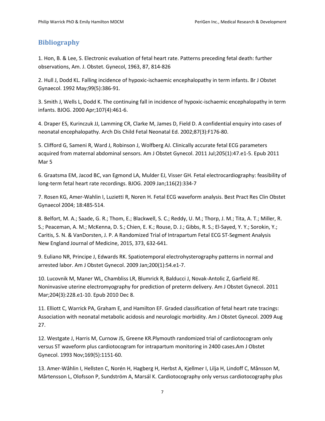# **Bibliography**

1. Hon, B. & Lee, S. Electronic evaluation of fetal heart rate. Patterns preceding fetal death: further observations, Am. J. Obstet. Gynecol, 1963, 87, 814-826

2. Hull J, Dodd KL. Falling incidence of hypoxic-ischaemic encephalopathy in term infants. Br J Obstet Gynaecol. 1992 May;99(5):386-91.

3. Smith J, Wells L, Dodd K. The continuing fall in incidence of hypoxic-ischaemic encephalopathy in term infants. BJOG. 2000 Apr;107(4):461-6.

4. Draper ES, Kurinczuk JJ, Lamming CR, Clarke M, James D, Field D. A confidential enquiry into cases of neonatal encephalopathy. Arch Dis Child Fetal Neonatal Ed. 2002;87(3):F176-80.

5. Clifford G, Sameni R, Ward J, Robinson J, Wolfberg AJ. Clinically accurate fetal ECG parameters acquired from maternal abdominal sensors. Am J Obstet Gynecol. 2011 Jul;205(1):47.e1-5. Epub 2011 Mar 5

6. Graatsma EM, Jacod BC, van Egmond LA, Mulder EJ, Visser GH. Fetal electrocardiography: feasibility of long-term fetal heart rate recordings. BJOG. 2009 Jan;116(2):334-7

7. Rosen KG, Amer-Wahlin I, Luzietti R, Noren H. Fetal ECG waveform analysis. Best Pract Res Clin Obstet Gynaecol 2004; 18:485-514.

8. Belfort, M. A.; Saade, G. R.; Thom, E.; Blackwell, S. C.; Reddy, U. M.; Thorp, J. M.; Tita, A. T.; Miller, R. S.; Peaceman, A. M.; McKenna, D. S.; Chien, E. K.; Rouse, D. J.; Gibbs, R. S.; El-Sayed, Y. Y.; Sorokin, Y.; Caritis, S. N. & VanDorsten, J. P. A Randomized Trial of Intrapartum Fetal ECG ST-Segment Analysis New England Journal of Medicine, 2015, 373, 632-641.

9. Euliano NR, Principe J, Edwards RK. Spatiotemporal electrohysterography patterns in normal and arrested labor. Am J Obstet Gynecol. 2009 Jan;200(1):54.e1-7.

10. Lucovnik M, Maner WL, Chambliss LR, Blumrick R, Balducci J, Novak-Antolic Z, Garfield RE. Noninvasive uterine electromyography for prediction of preterm delivery. Am J Obstet Gynecol. 2011 Mar;204(3):228.e1-10. Epub 2010 Dec 8.

11. Elliott C, Warrick PA, Graham E, and Hamilton EF. Graded classification of fetal heart rate tracings: Association with neonatal metabolic acidosis and neurologic morbidity. Am J Obstet Gynecol. 2009 Aug 27.

12. Westgate J, Harris M, Curnow JS, Greene KR.Plymouth randomized trial of cardiotocogram only versus ST waveform plus cardiotocogram for intrapartum monitoring in 2400 cases.Am J Obstet Gynecol. 1993 Nov;169(5):1151-60.

13. Amer-Wåhlin I, Hellsten C, Norén H, Hagberg H, Herbst A, Kjellmer I, Lilja H, Lindoff C, Månsson M, Mårtensson L, Olofsson P, Sundström A, Marsál K. Cardiotocography only versus cardiotocography plus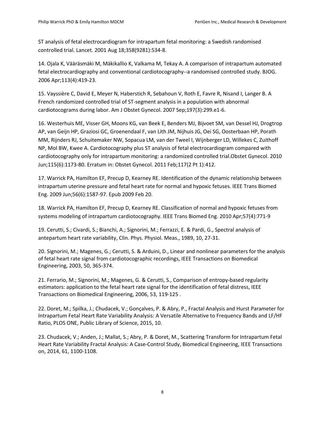ST analysis of fetal electrocardiogram for intrapartum fetal monitoring: a Swedish randomised controlled trial. Lancet. 2001 Aug 18;358(9281):534-8.

14. Ojala K, Vääräsmäki M, Mäkikallio K, Valkama M, Tekay A. A comparison of intrapartum automated fetal electrocardiography and conventional cardiotocography--a randomised controlled study. BJOG. 2006 Apr;113(4):419-23.

15. Vayssière C, David E, Meyer N, Haberstich R, Sebahoun V, Roth E, Favre R, Nisand I, Langer B. A French randomized controlled trial of ST-segment analysis in a population with abnormal cardiotocograms during labor. Am J Obstet Gynecol. 2007 Sep;197(3):299.e1-6.

16. Westerhuis ME, Visser GH, Moons KG, van Beek E, Benders MJ, Bijvoet SM, van Dessel HJ, Drogtrop AP, van Geijn HP, Graziosi GC, Groenendaal F, van Lith JM, Nijhuis JG, Oei SG, Oosterbaan HP, Porath MM, Rijnders RJ, Schuitemaker NW, Sopacua LM, van der Tweel I, Wijnberger LD, Willekes C, Zuithoff NP, Mol BW, Kwee A. Cardiotocography plus ST analysis of fetal electrocardiogram compared with cardiotocography only for intrapartum monitoring: a randomized controlled trial.Obstet Gynecol. 2010 Jun;115(6):1173-80. Erratum in: Obstet Gynecol. 2011 Feb;117(2 Pt 1):412.

17. Warrick PA, Hamilton EF, Precup D, Kearney RE. Identification of the dynamic relationship between intrapartum uterine pressure and fetal heart rate for normal and hypoxic fetuses. IEEE Trans Biomed Eng. 2009 Jun;56(6):1587-97. Epub 2009 Feb 20.

18. Warrick PA, Hamilton EF, Precup D, Kearney RE. Classification of normal and hypoxic fetuses from systems modeling of intrapartum cardiotocography. IEEE Trans Biomed Eng. 2010 Apr;57(4):771-9

19. Cerutti, S.; Civardi, S.; Bianchi, A.; Signorini, M.; Ferrazzi, E. & Pardi, G., Spectral analysis of antepartum heart rate variability, Clin. Phys. Physiol. Meas., 1989, 10, 27-31.

20. Signorini, M.; Magenes, G.; Cerutti, S. & Arduini, D., Linear and nonlinear parameters for the analysis of fetal heart rate signal from cardiotocographic recordings, IEEE Transactions on Biomedical Engineering, 2003, 50, 365-374.

21. Ferrario, M.; Signorini, M.; Magenes, G. & Cerutti, S., Comparison of entropy-based regularity estimators: application to the fetal heart rate signal for the identification of fetal distress, IEEE Transactions on Biomedical Engineering, 2006, 53, 119-125 .

22. Doret, M.; Spilka, J.; Chudacek, V.; Gonçalves, P. & Abry, P., Fractal Analysis and Hurst Parameter for Intrapartum Fetal Heart Rate Variability Analysis: A Versatile Alternative to Frequency Bands and LF/HF Ratio, PLOS ONE, Public Library of Science, 2015, 10.

23. Chudacek, V.; Anden, J.; Mallat, S.; Abry, P. & Doret, M., Scattering Transform for Intrapartum Fetal Heart Rate Variability Fractal Analysis: A Case-Control Study, Biomedical Engineering, IEEE Transactions on, 2014, 61, 1100-1108.